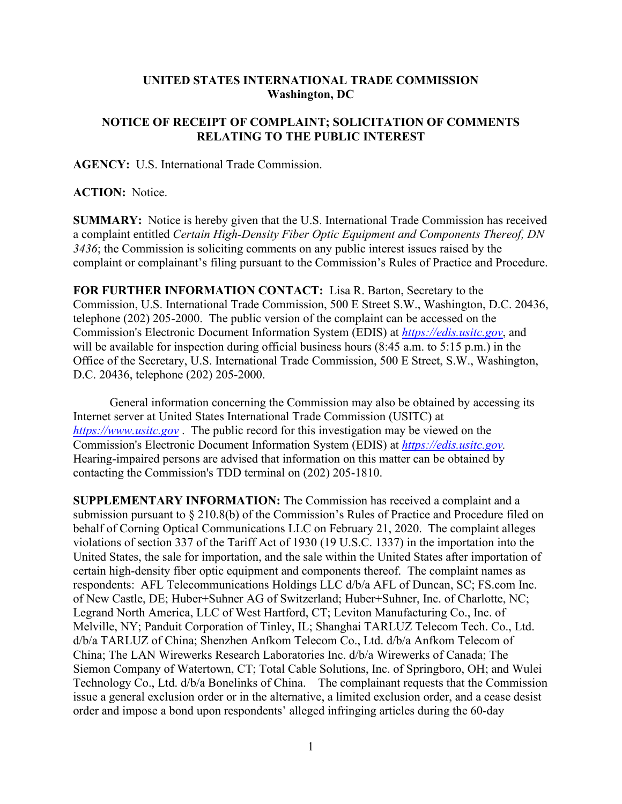## **UNITED STATES INTERNATIONAL TRADE COMMISSION Washington, DC**

## **NOTICE OF RECEIPT OF COMPLAINT; SOLICITATION OF COMMENTS RELATING TO THE PUBLIC INTEREST**

**AGENCY:** U.S. International Trade Commission.

## **ACTION:** Notice.

**SUMMARY:** Notice is hereby given that the U.S. International Trade Commission has received a complaint entitled *Certain High-Density Fiber Optic Equipment and Components Thereof, DN 3436*; the Commission is soliciting comments on any public interest issues raised by the complaint or complainant's filing pursuant to the Commission's Rules of Practice and Procedure.

**FOR FURTHER INFORMATION CONTACT:** Lisa R. Barton, Secretary to the Commission, U.S. International Trade Commission, 500 E Street S.W., Washington, D.C. 20436, telephone (202) 205-2000. The public version of the complaint can be accessed on the Commission's Electronic Document Information System (EDIS) at *[https://edis.usitc.gov](https://edis.usitc.gov/)*, and will be available for inspection during official business hours (8:45 a.m. to 5:15 p.m.) in the Office of the Secretary, U.S. International Trade Commission, 500 E Street, S.W., Washington, D.C. 20436, telephone (202) 205-2000.

General information concerning the Commission may also be obtained by accessing its Internet server at United States International Trade Commission (USITC) at *[https://www.usitc.gov](https://www.usitc.gov/)* . The public record for this investigation may be viewed on the Commission's Electronic Document Information System (EDIS) at *[https://edis.usitc.gov.](https://edis.usitc.gov/)* Hearing-impaired persons are advised that information on this matter can be obtained by contacting the Commission's TDD terminal on (202) 205-1810.

**SUPPLEMENTARY INFORMATION:** The Commission has received a complaint and a submission pursuant to § 210.8(b) of the Commission's Rules of Practice and Procedure filed on behalf of Corning Optical Communications LLC on February 21, 2020. The complaint alleges violations of section 337 of the Tariff Act of 1930 (19 U.S.C. 1337) in the importation into the United States, the sale for importation, and the sale within the United States after importation of certain high-density fiber optic equipment and components thereof. The complaint names as respondents: AFL Telecommunications Holdings LLC d/b/a AFL of Duncan, SC; FS.com Inc. of New Castle, DE; Huber+Suhner AG of Switzerland; Huber+Suhner, Inc. of Charlotte, NC; Legrand North America, LLC of West Hartford, CT; Leviton Manufacturing Co., Inc. of Melville, NY; Panduit Corporation of Tinley, IL; Shanghai TARLUZ Telecom Tech. Co., Ltd. d/b/a TARLUZ of China; Shenzhen Anfkom Telecom Co., Ltd. d/b/a Anfkom Telecom of China; The LAN Wirewerks Research Laboratories Inc. d/b/a Wirewerks of Canada; The Siemon Company of Watertown, CT; Total Cable Solutions, Inc. of Springboro, OH; and Wulei Technology Co., Ltd. d/b/a Bonelinks of China. The complainant requests that the Commission issue a general exclusion order or in the alternative, a limited exclusion order, and a cease desist order and impose a bond upon respondents' alleged infringing articles during the 60-day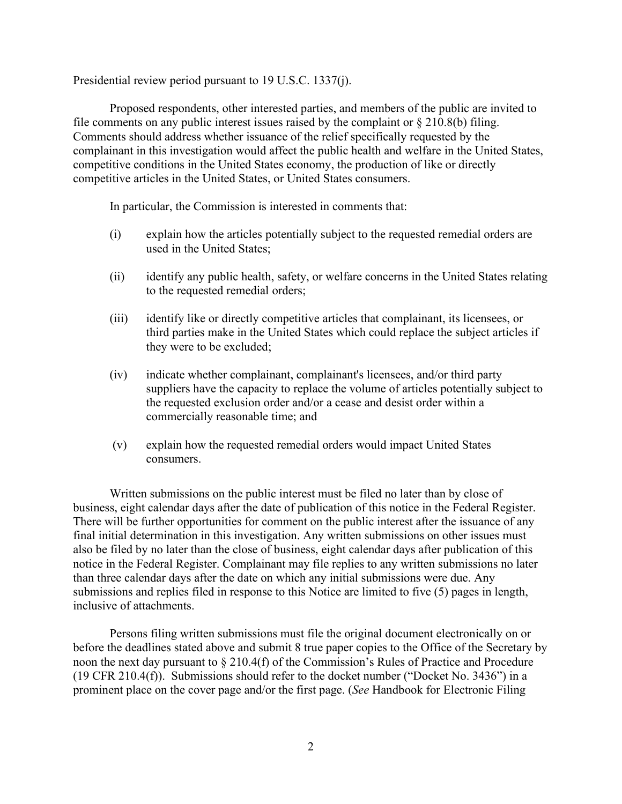Presidential review period pursuant to 19 U.S.C. 1337(j).

Proposed respondents, other interested parties, and members of the public are invited to file comments on any public interest issues raised by the complaint or  $\S 210.8(b)$  filing. Comments should address whether issuance of the relief specifically requested by the complainant in this investigation would affect the public health and welfare in the United States, competitive conditions in the United States economy, the production of like or directly competitive articles in the United States, or United States consumers.

In particular, the Commission is interested in comments that:

- (i) explain how the articles potentially subject to the requested remedial orders are used in the United States;
- (ii) identify any public health, safety, or welfare concerns in the United States relating to the requested remedial orders;
- (iii) identify like or directly competitive articles that complainant, its licensees, or third parties make in the United States which could replace the subject articles if they were to be excluded;
- (iv) indicate whether complainant, complainant's licensees, and/or third party suppliers have the capacity to replace the volume of articles potentially subject to the requested exclusion order and/or a cease and desist order within a commercially reasonable time; and
- (v) explain how the requested remedial orders would impact United States consumers.

Written submissions on the public interest must be filed no later than by close of business, eight calendar days after the date of publication of this notice in the Federal Register. There will be further opportunities for comment on the public interest after the issuance of any final initial determination in this investigation. Any written submissions on other issues must also be filed by no later than the close of business, eight calendar days after publication of this notice in the Federal Register. Complainant may file replies to any written submissions no later than three calendar days after the date on which any initial submissions were due. Any submissions and replies filed in response to this Notice are limited to five (5) pages in length, inclusive of attachments.

Persons filing written submissions must file the original document electronically on or before the deadlines stated above and submit 8 true paper copies to the Office of the Secretary by noon the next day pursuant to § 210.4(f) of the Commission's Rules of Practice and Procedure (19 CFR 210.4(f)). Submissions should refer to the docket number ("Docket No. 3436") in a prominent place on the cover page and/or the first page. (*See* Handbook for Electronic Filing